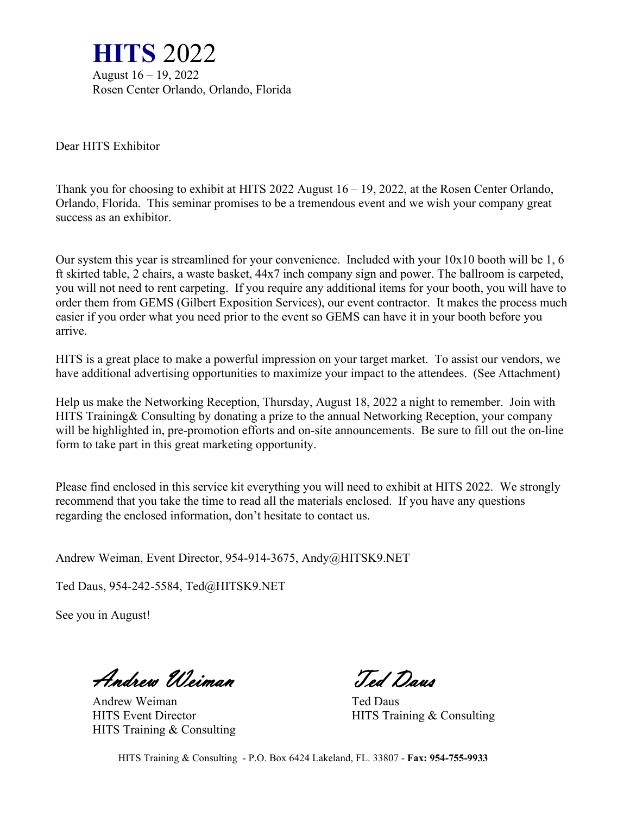

Dear HITS Exhibitor

Thank you for choosing to exhibit at HITS 2022 August 16 – 19, 2022, at the Rosen Center Orlando, Orlando, Florida. This seminar promises to be a tremendous event and we wish your company great success as an exhibitor.

Our system this year is streamlined for your convenience. Included with your 10x10 booth will be 1, 6 ft skirted table, 2 chairs, a waste basket, 44x7 inch company sign and power. The ballroom is carpeted, you will not need to rent carpeting. If you require any additional items for your booth, you will have to order them from GEMS (Gilbert Exposition Services), our event contractor. It makes the process much easier if you order what you need prior to the event so GEMS can have it in your booth before you arrive.

HITS is a great place to make a powerful impression on your target market. To assist our vendors, we have additional advertising opportunities to maximize your impact to the attendees. (See Attachment)

Help us make the Networking Reception, Thursday, August 18, 2022 a night to remember. Join with HITS Training& Consulting by donating a prize to the annual Networking Reception, your company will be highlighted in, pre-promotion efforts and on-site announcements. Be sure to fill out the on-line form to take part in this great marketing opportunity.

Please find enclosed in this service kit everything you will need to exhibit at HITS 2022. We strongly recommend that you take the time to read all the materials enclosed. If you have any questions regarding the enclosed information, don't hesitate to contact us.

Andrew Weiman, Event Director, 954-914-3675, Andy@HITSK9.NET

Ted Daus, 954-242-5584, Ted@HITSK9.NET

See you in August!

Andrew Weiman Ted Daus

Andrew Weiman Ted Daus HITS Training & Consulting

HITS Event Director HITS Training & Consulting

HITS Training & Consulting - P.O. Box 6424 Lakeland, FL. 33807 - **Fax: 954-755-9933**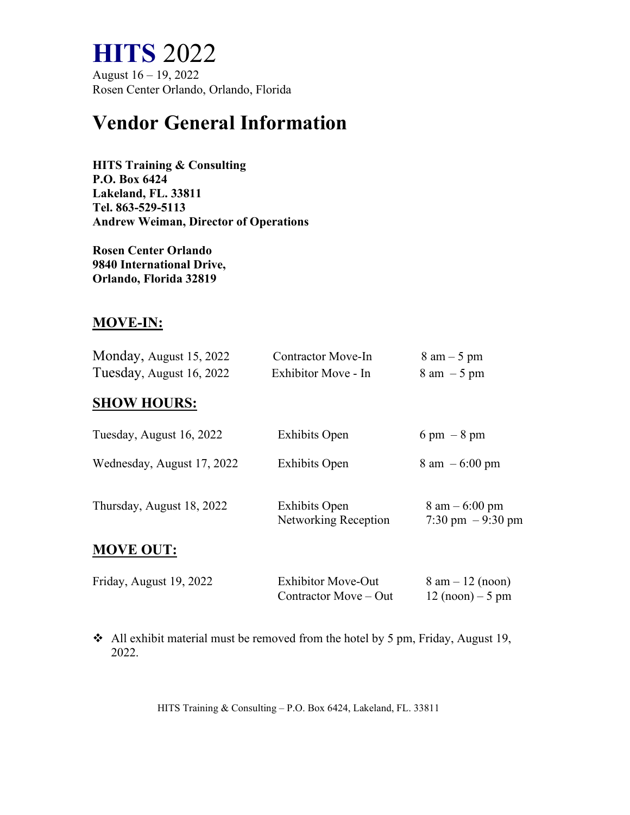# **HITS** 2022<br>August 16 – 19, 2022

Rosen Center Orlando, Orlando, Florida

### **Vendor General Information**

**HITS Training & Consulting P.O. Box 6424 Lakeland, FL. 33811 Tel. 863-529-5113 Andrew Weiman, Director of Operations**

**Rosen Center Orlando 9840 International Drive, Orlando, Florida 32819**

#### **MOVE-IN:**

| Monday, August 15, 2022  | <b>Contractor Move-In</b> | $8 \text{ am} - 5 \text{ pm}$ |
|--------------------------|---------------------------|-------------------------------|
| Tuesday, August 16, 2022 | Exhibitor Move - In       | $8 \text{ am } -5 \text{ pm}$ |

#### **SHOW HOURS:**

| Tuesday, August 16, 2022   | <b>Exhibits Open</b>                         | $6 \text{ pm } - 8 \text{ pm}$                         |
|----------------------------|----------------------------------------------|--------------------------------------------------------|
| Wednesday, August 17, 2022 | <b>Exhibits Open</b>                         | $8 \text{ am } -6:00 \text{ pm}$                       |
| Thursday, August 18, 2022  | <b>Exhibits Open</b><br>Networking Reception | $8 \text{ am} - 6:00 \text{ pm}$<br>7:30 pm $-9:30$ pm |
| <b>MOVE OUT:</b>           |                                              |                                                        |

| Friday, August 19, 2022 | <b>Exhibitor Move-Out</b> | $8 \text{ am} - 12 \text{ (noon)}$ |
|-------------------------|---------------------------|------------------------------------|
|                         | Contractor Move – Out     | $12 \text{ (noon)} - 5 \text{ pm}$ |

 All exhibit material must be removed from the hotel by 5 pm, Friday, August 19, 2022.

HITS Training & Consulting – P.O. Box 6424, Lakeland, FL. 33811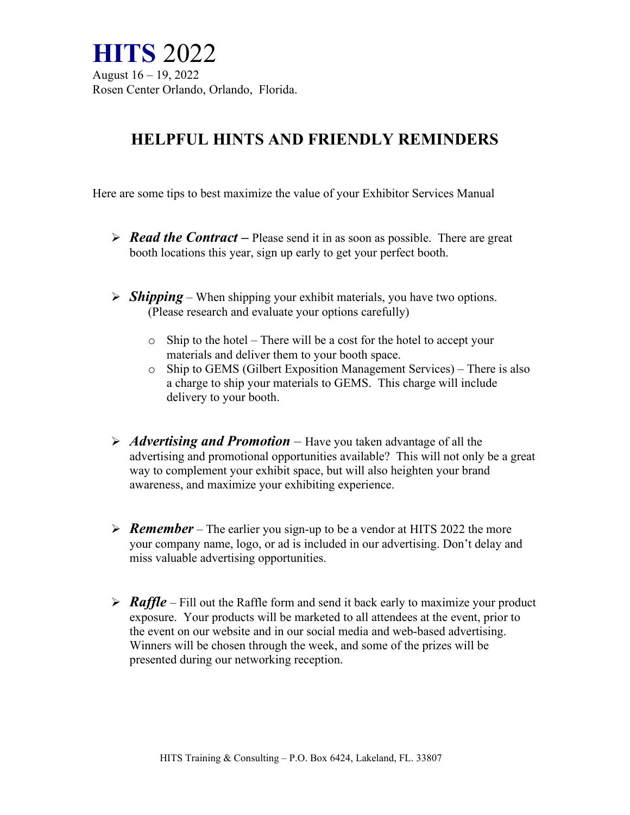**HITS** 2022<br>August 16 – 19, 2022 Rosen Center Orlando, Orlando, Florida.

#### **HELPFUL HINTS AND FRIENDLY REMINDERS**

Here are some tips to best maximize the value of your Exhibitor Services Manual

- *Read the Contract –* Please send it in as soon as possible. There are great booth locations this year, sign up early to get your perfect booth.
- $\triangleright$  *Shipping* When shipping your exhibit materials, you have two options. (Please research and evaluate your options carefully)
	- o Ship to the hotel There will be a cost for the hotel to accept your materials and deliver them to your booth space.
	- o Ship to GEMS (Gilbert Exposition Management Services) There is also a charge to ship your materials to GEMS. This charge will include delivery to your booth.
- *Advertising and Promotion –* Have you taken advantage of all the advertising and promotional opportunities available? This will not only be a great way to complement your exhibit space, but will also heighten your brand awareness, and maximize your exhibiting experience.
- *Remember* The earlier you sign-up to be a vendor at HITS 2022 the more your company name, logo, or ad is included in our advertising. Don't delay and miss valuable advertising opportunities.
- *Raffle*  Fill out the Raffle form and send it back early to maximize your product exposure. Your products will be marketed to all attendees at the event, prior to the event on our website and in our social media and web-based advertising. Winners will be chosen through the week, and some of the prizes will be presented during our networking reception.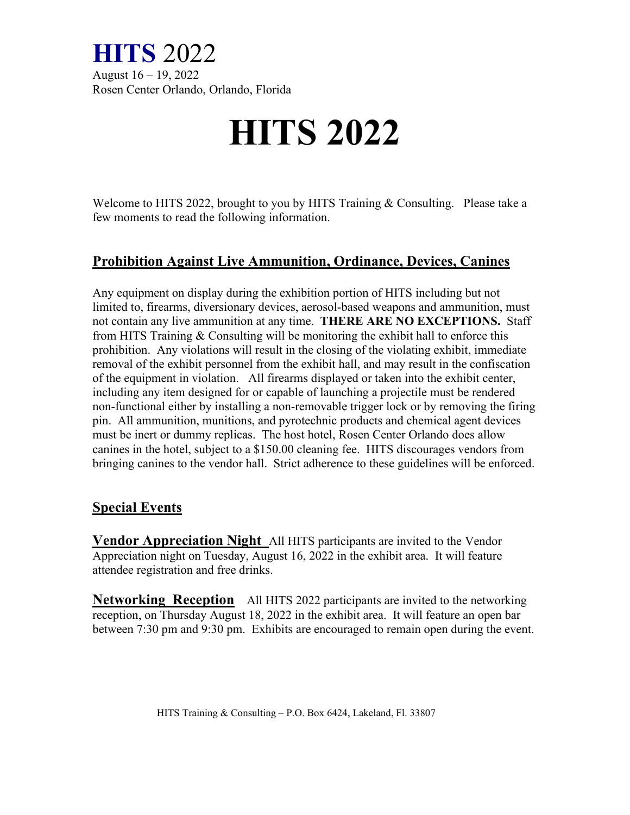

Rosen Center Orlando, Orlando, Florida

# **HITS 2022**

Welcome to HITS 2022, brought to you by HITS Training & Consulting. Please take a few moments to read the following information.

#### **Prohibition Against Live Ammunition, Ordinance, Devices, Canines**

Any equipment on display during the exhibition portion of HITS including but not limited to, firearms, diversionary devices, aerosol-based weapons and ammunition, must not contain any live ammunition at any time. **THERE ARE NO EXCEPTIONS.** Staff from HITS Training & Consulting will be monitoring the exhibit hall to enforce this prohibition. Any violations will result in the closing of the violating exhibit, immediate removal of the exhibit personnel from the exhibit hall, and may result in the confiscation of the equipment in violation. All firearms displayed or taken into the exhibit center, including any item designed for or capable of launching a projectile must be rendered non-functional either by installing a non-removable trigger lock or by removing the firing pin. All ammunition, munitions, and pyrotechnic products and chemical agent devices must be inert or dummy replicas. The host hotel, Rosen Center Orlando does allow canines in the hotel, subject to a \$150.00 cleaning fee. HITS discourages vendors from bringing canines to the vendor hall. Strict adherence to these guidelines will be enforced.

#### **Special Events**

**Vendor Appreciation Night** All HITS participants are invited to the Vendor Appreciation night on Tuesday, August 16, 2022 in the exhibit area. It will feature attendee registration and free drinks.

**Networking Reception** All HITS 2022 participants are invited to the networking reception, on Thursday August 18, 2022 in the exhibit area. It will feature an open bar between 7:30 pm and 9:30 pm. Exhibits are encouraged to remain open during the event.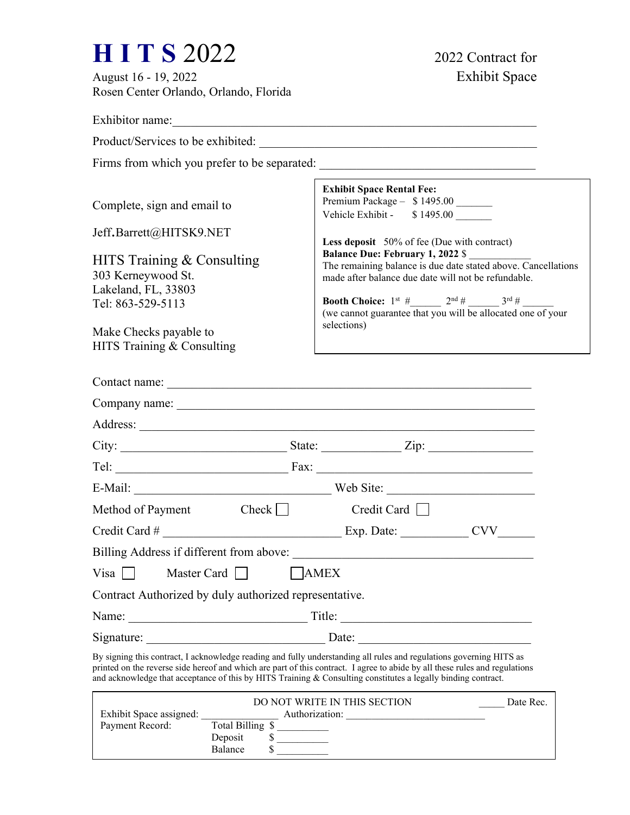# **H I T S** 2022 2022 Contract for<br>August 16 - 19, 2022<br>Exhibit Space

August 16 - 19, 2022 Rosen Center Orlando, Orlando, Florida

| Exhibitor name:                                                |                                                                                                                                                                                                                                                                                                                                                                     |
|----------------------------------------------------------------|---------------------------------------------------------------------------------------------------------------------------------------------------------------------------------------------------------------------------------------------------------------------------------------------------------------------------------------------------------------------|
|                                                                |                                                                                                                                                                                                                                                                                                                                                                     |
|                                                                | Firms from which you prefer to be separated: ___________________________________                                                                                                                                                                                                                                                                                    |
| Complete, sign and email to                                    | <b>Exhibit Space Rental Fee:</b><br>Premium Package - \$1495.00 _______<br>Vehicle Exhibit - \$1495.00                                                                                                                                                                                                                                                              |
| Jeff.Barrett@HITSK9.NET<br>HITS Training & Consulting          | Less deposit 50% of fee (Due with contract)<br>Balance Due: February 1, 2022 \$<br>The remaining balance is due date stated above. Cancellations                                                                                                                                                                                                                    |
| 303 Kerneywood St.<br>Lakeland, FL, 33803<br>Tel: 863-529-5113 | made after balance due date will not be refundable.<br><b>Booth Choice:</b> $1^{st}$ # 2 <sup>nd</sup> # 3 <sup>rd</sup> #<br>(we cannot guarantee that you will be allocated one of your<br>selections)                                                                                                                                                            |
| Make Checks payable to<br>HITS Training & Consulting           |                                                                                                                                                                                                                                                                                                                                                                     |
|                                                                |                                                                                                                                                                                                                                                                                                                                                                     |
|                                                                | Company name:                                                                                                                                                                                                                                                                                                                                                       |
|                                                                |                                                                                                                                                                                                                                                                                                                                                                     |
|                                                                |                                                                                                                                                                                                                                                                                                                                                                     |
|                                                                |                                                                                                                                                                                                                                                                                                                                                                     |
|                                                                | E-Mail: Web Site:                                                                                                                                                                                                                                                                                                                                                   |
| Method of Payment Check $\Box$                                 | Credit Card $\Box$                                                                                                                                                                                                                                                                                                                                                  |
|                                                                |                                                                                                                                                                                                                                                                                                                                                                     |
|                                                                | Billing Address if different from above:                                                                                                                                                                                                                                                                                                                            |
| Visa<br>Master Card                                            | AMEX                                                                                                                                                                                                                                                                                                                                                                |
| Contract Authorized by duly authorized representative.         |                                                                                                                                                                                                                                                                                                                                                                     |
|                                                                |                                                                                                                                                                                                                                                                                                                                                                     |
|                                                                |                                                                                                                                                                                                                                                                                                                                                                     |
|                                                                | By signing this contract, I acknowledge reading and fully understanding all rules and regulations governing HITS as<br>printed on the reverse side hereof and which are part of this contract. I agree to abide by all these rules and regulations<br>and acknowledge that acceptance of this by HITS Training & Consulting constitutes a legally binding contract. |
| $E which is Chapson condition \frac{1}{2}.$                    | DO NOT WRITE IN THIS SECTION<br>Date Rec.                                                                                                                                                                                                                                                                                                                           |

|                         | DO NOT WRITE IN THIS SECTION | Date Rec. |
|-------------------------|------------------------------|-----------|
| Exhibit Space assigned: | Authorization:               |           |
| Payment Record:         | Total Billing \$             |           |
|                         | Deposit                      |           |
|                         | Balance                      |           |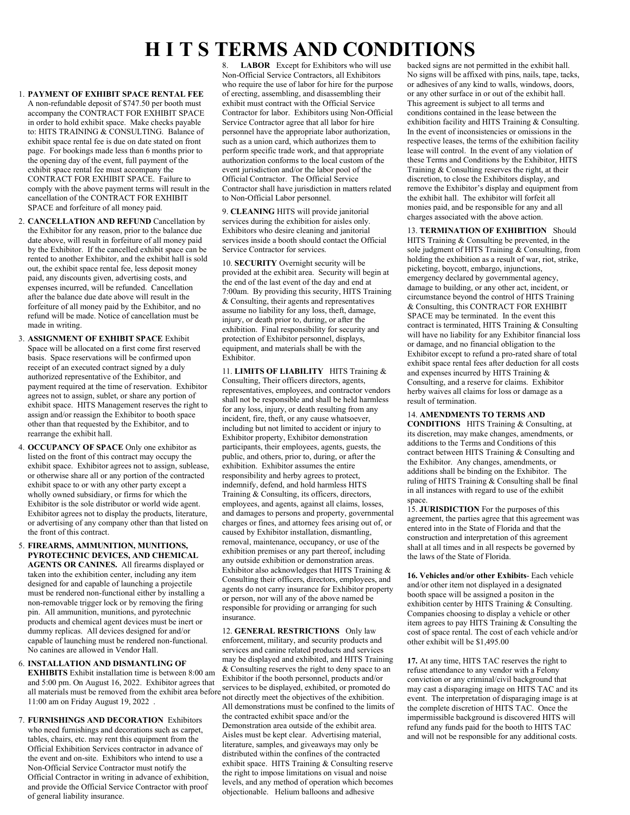## **H I T S TERMS AND CONDITIONS**

- 1. **PAYMENT OF EXHIBIT SPACE RENTAL FEE** A non-refundable deposit of \$747.50 per booth must accompany the CONTRACT FOR EXHIBIT SPACE in order to hold exhibit space. Make checks payable to: HITS TRAINING & CONSULTING. Balance of exhibit space rental fee is due on date stated on front page. For bookings made less than 6 months prior to the opening day of the event, full payment of the exhibit space rental fee must accompany the CONTRACT FOR EXHIBIT SPACE. Failure to comply with the above payment terms will result in the cancellation of the CONTRACT FOR EXHIBIT SPACE and forfeiture of all money paid.
- 2. **CANCELLATION AND REFUND** Cancellation by the Exhibitor for any reason, prior to the balance due date above, will result in forfeiture of all money paid by the Exhibitor. If the cancelled exhibit space can be rented to another Exhibitor, and the exhibit hall is sold out, the exhibit space rental fee, less deposit money paid, any discounts given, advertising costs, and expenses incurred, will be refunded. Cancellation after the balance due date above will result in the forfeiture of all money paid by the Exhibitor, and no refund will be made. Notice of cancellation must be made in writing.
- 3. **ASSIGNMENT OF EXHIBIT SPACE** Exhibit Space will be allocated on a first come first reserved basis. Space reservations will be confirmed upon receipt of an executed contract signed by a duly authorized representative of the Exhibitor, and payment required at the time of reservation. Exhibitor agrees not to assign, sublet, or share any portion of exhibit space. HITS Management reserves the right to assign and/or reassign the Exhibitor to booth space other than that requested by the Exhibitor, and to rearrange the exhibit hall.
- 4. **OCCUPANCY OF SPACE** Only one exhibitor as listed on the front of this contract may occupy the exhibit space. Exhibitor agrees not to assign, sublease, or otherwise share all or any portion of the contracted exhibit space to or with any other party except a wholly owned subsidiary, or firms for which the Exhibitor is the sole distributor or world wide agent. Exhibitor agrees not to display the products, literature, or advertising of any company other than that listed on the front of this contract.
- 5. **FIREARMS, AMMUNITION, MUNITIONS, PYROTECHNIC DEVICES, AND CHEMICAL AGENTS OR CANINES.** All firearms displayed or taken into the exhibition center, including any item designed for and capable of launching a projectile must be rendered non-functional either by installing a non-removable trigger lock or by removing the firing pin. All ammunition, munitions, and pyrotechnic products and chemical agent devices must be inert or dummy replicas. All devices designed for and/or capable of launching must be rendered non-functional. No canines are allowed in Vendor Hall.
- 6. **INSTALLATION AND DISMANTLING OF EXHIBITS** Exhibit installation time is between 8:00 am and 5:00 pm. On August 16, 2022. Exhibitor agrees that and 5:00 pm. On August 16, 2022. Exhibitor agrees that all materials must be removed from the exhibit area before services to be displayed, exhibited, or promoted do<br>all materials must be removed from the exhibit area before set displayed the chiesting of the published 11:00 am on Friday August 19, 2022 .
- 7. **FURNISHINGS AND DECORATION** Exhibitors who need furnishings and decorations such as carpet, tables, chairs, etc. may rent this equipment from the Official Exhibition Services contractor in advance of the event and on-site. Exhibitors who intend to use a Non-Official Service Contractor must notify the Official Contractor in writing in advance of exhibition, and provide the Official Service Contractor with proof of general liability insurance.

**LABOR** Except for Exhibitors who will use Non-Official Service Contractors, all Exhibitors who require the use of labor for hire for the purpose of erecting, assembling, and disassembling their exhibit must contract with the Official Service Contractor for labor. Exhibitors using Non-Official Service Contractor agree that all labor for hire personnel have the appropriate labor authorization, such as a union card, which authorizes them to perform specific trade work, and that appropriate authorization conforms to the local custom of the event jurisdiction and/or the labor pool of the Official Contractor. The Official Service Contractor shall have jurisdiction in matters related to Non-Official Labor personnel.

9. **CLEANING** HITS will provide janitorial services during the exhibition for aisles only. Exhibitors who desire cleaning and janitorial services inside a booth should contact the Official Service Contractor for services.

10. **SECURITY** Overnight security will be provided at the exhibit area. Security will begin at the end of the last event of the day and end at 7:00am. By providing this security, HITS Training & Consulting, their agents and representatives assume no liability for any loss, theft, damage, injury, or death prior to, during, or after the exhibition. Final responsibility for security and protection of Exhibitor personnel, displays, equipment, and materials shall be with the Exhibitor.

11. **LIMITS OF LIABILITY** HITS Training & Consulting, Their officers directors, agents, representatives, employees, and contractor vendors shall not be responsible and shall be held harmless for any loss, injury, or death resulting from any incident, fire, theft, or any cause whatsoever, including but not limited to accident or injury to Exhibitor property, Exhibitor demonstration participants, their employees, agents, guests, the public, and others, prior to, during, or after the exhibition. Exhibitor assumes the entire responsibility and herby agrees to protect, indemnify, defend, and hold harmless HITS Training & Consulting, its officers, directors, employees, and agents, against all claims, losses, and damages to persons and property, governmental charges or fines, and attorney fees arising out of, or caused by Exhibitor installation, dismantling, removal, maintenance, occupancy, or use of the exhibition premises or any part thereof, including any outside exhibition or demonstration areas. Exhibitor also acknowledges that HITS Training & Consulting their officers, directors, employees, and agents do not carry insurance for Exhibitor property or person, nor will any of the above named be responsible for providing or arranging for such insurance.

12. **GENERAL RESTRICTIONS** Only law enforcement, military, and security products and services and canine related products and services may be displayed and exhibited, and HITS Training & Consulting reserves the right to deny space to an Exhibitor if the booth personnel, products and/or not directly meet the objectives of the exhibition. All demonstrations must be confined to the limits of the contracted exhibit space and/or the Demonstration area outside of the exhibit area. Aisles must be kept clear. Advertising material, literature, samples, and giveaways may only be distributed within the confines of the contracted exhibit space. HITS Training & Consulting reserve the right to impose limitations on visual and noise levels, and any method of operation which becomes objectionable. Helium balloons and adhesive

backed signs are not permitted in the exhibit hall. No signs will be affixed with pins, nails, tape, tacks, or adhesives of any kind to walls, windows, doors, or any other surface in or out of the exhibit hall. This agreement is subject to all terms and conditions contained in the lease between the exhibition facility and HITS Training & Consulting. In the event of inconsistencies or omissions in the respective leases, the terms of the exhibition facility lease will control. In the event of any violation of these Terms and Conditions by the Exhibitor, HITS Training & Consulting reserves the right, at their discretion, to close the Exhibitors display, and remove the Exhibitor's display and equipment from the exhibit hall. The exhibitor will forfeit all monies paid, and be responsible for any and all charges associated with the above action.

13. **TERMINATION OF EXHIBITION** Should HITS Training & Consulting be prevented, in the sole judgment of HITS Training & Consulting, from holding the exhibition as a result of war, riot, strike, picketing, boycott, embargo, injunctions, emergency declared by governmental agency, damage to building, or any other act, incident, or circumstance beyond the control of HITS Training & Consulting, this CONTRACT FOR EXHIBIT SPACE may be terminated. In the event this contract is terminated, HITS Training & Consulting will have no liability for any Exhibitor financial loss or damage, and no financial obligation to the Exhibitor except to refund a pro-rated share of total exhibit space rental fees after deduction for all costs and expenses incurred by HITS Training & Consulting, and a reserve for claims. Exhibitor herby waives all claims for loss or damage as a result of termination.

#### 14. **AMENDMENTS TO TERMS AND**

**CONDITIONS** HITS Training & Consulting, at its discretion, may make changes, amendments, or additions to the Terms and Conditions of this contract between HITS Training & Consulting and the Exhibitor. Any changes, amendments, or additions shall be binding on the Exhibitor. The ruling of HITS Training & Consulting shall be final in all instances with regard to use of the exhibit space.

15. **JURISDICTION** For the purposes of this agreement, the parties agree that this agreement was entered into in the State of Florida and that the construction and interpretation of this agreement shall at all times and in all respects be governed by the laws of the State of Florida.

**16. Vehicles and/or other Exhibits**- Each vehicle and/or other item not displayed in a designated booth space will be assigned a positon in the exhibition center by HITS Training & Consulting. Companies choosing to display a vehicle or other item agrees to pay HITS Training & Consulting the cost of space rental. The cost of each vehicle and/or other exhibit will be \$1,495.00

**17.** At any time, HITS TAC reserves the right to refuse attendance to any vendor with a Felony conviction or any criminal/civil background that may cast a disparaging image on HITS TAC and its event. The interpretation of disparaging image is at the complete discretion of HITS TAC. Once the impermissible background is discovered HITS will refund any funds paid for the booth to HITS TAC and will not be responsible for any additional costs.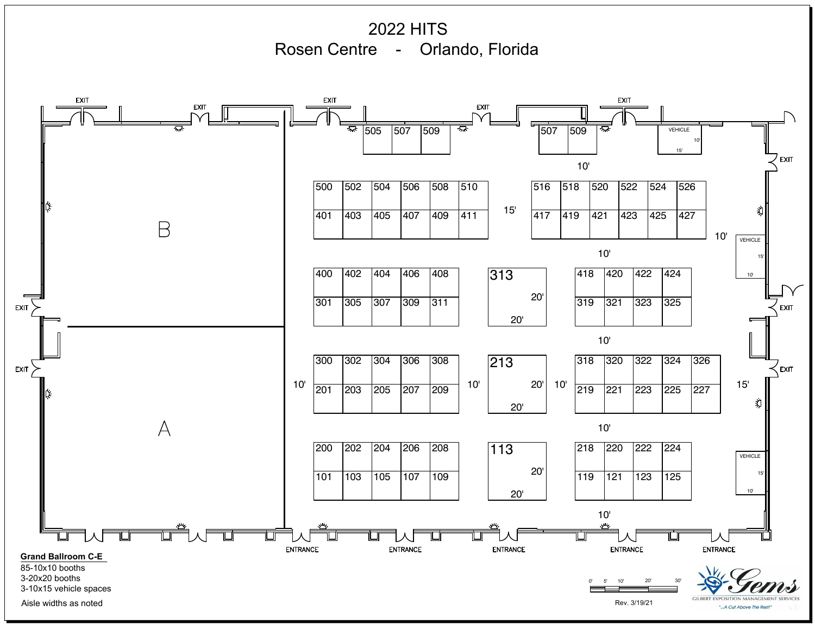2022 HITS Rosen Centre - Orlando, Florida **EXIT EXIT EXIT EXIT EXIT** ਸ਼ਾ VEHICLE 505 |507 |509 | \*\* |507 |509 |\*\* |507 10' 15' **EXIT** 10' 510 516 518 520 526 500 |502 |504 |506 |508 |510 | |516 |518 |520 |522 |524 |526 | 15' 义 411 417 419 421 427 401 |403 |405 |407 |409 |411 | '<sup>o</sup> |417 |419 |421 |423 |425 |427 | B 10'VEHICLE 10' 15' 313 400 |402 |404 |406 |408 | |313 |418 |420 |422 |424 | 10' 20' 301 |305 |307 |309 |311 | |319 |321 |323 |325 | **EXIT** EXIT 20' 10' 213 326 300 302 304 306 308 | 213 | 318 320 322 324 326 | ⊂<br>⊾EXIT EXIT  $\overline{\smash{\big)}\ 227}$  15'  $10'$  201 10'  $20'$  10'  $\frac{1}{219}$ 201 |203 |205 |207 |209 | ' $\sim$  |  $\sim$   $\sim$  | ' $\sim$  |219 |221 |223 |225 |227 | रो 20'  $\forall$ 10' 113 200 |202 |204 |206 |208 | |113 |218 |220 |222 |224 | VEHICLE 20' 15' 101 103 105 107 109 119 121 123 125 20' 10' 10' **ENTRANCE ENTRANCE** 0' 5' 10' 20' 30' **Grand Ballroom C-E** 85-10x10 booths 3-20x20 booths 3-10x15 vehicle spaces

Aisle widths as noted Rev. 3/19/21

**GILBERT EXPOSITION MANAGEMED** "...A Cut Above The Restl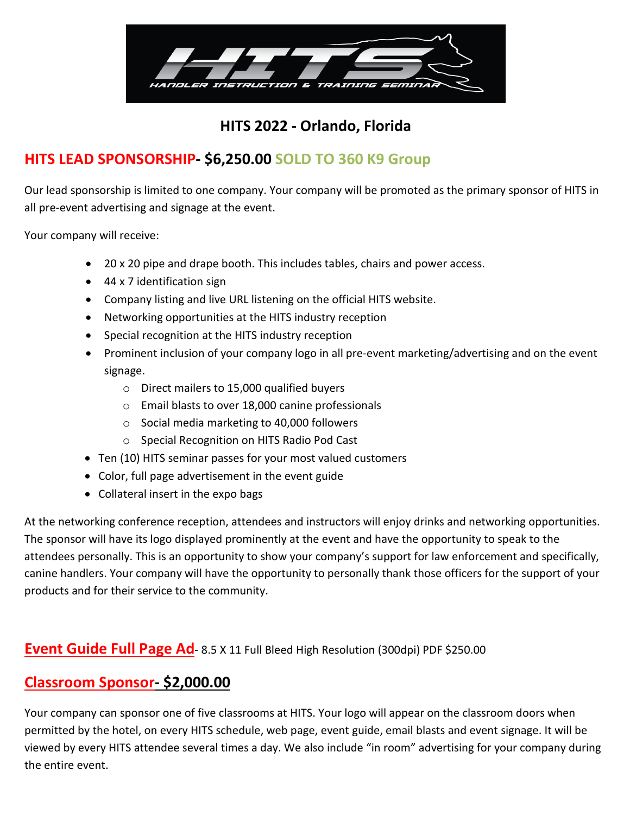

#### **HITS 2022 - Orlando, Florida**

### **HITS LEAD SPONSORSHIP- \$6,250.00 SOLD TO 360 K9 Group**

Our lead sponsorship is limited to one company. Your company will be promoted as the primary sponsor of HITS in all pre-event advertising and signage at the event.

Your company will receive:

- 20 x 20 pipe and drape booth. This includes tables, chairs and power access.
- 44 x 7 identification sign
- Company listing and live URL listening on the official HITS website.
- Networking opportunities at the HITS industry reception
- Special recognition at the HITS industry reception
- Prominent inclusion of your company logo in all pre-event marketing/advertising and on the event signage.
	- o Direct mailers to 15,000 qualified buyers
	- o Email blasts to over 18,000 canine professionals
	- o Social media marketing to 40,000 followers
	- o Special Recognition on HITS Radio Pod Cast
- Ten (10) HITS seminar passes for your most valued customers
- Color, full page advertisement in the event guide
- Collateral insert in the expo bags

At the networking conference reception, attendees and instructors will enjoy drinks and networking opportunities. The sponsor will have its logo displayed prominently at the event and have the opportunity to speak to the attendees personally. This is an opportunity to show your company's support for law enforcement and specifically, canine handlers. Your company will have the opportunity to personally thank those officers for the support of your products and for their service to the community.

#### **Event Guide Full Page Ad-** 8.5 X 11 Full Bleed High Resolution (300dpi) PDF \$250.00

#### **Classroom Sponsor- \$2,000.00**

Your company can sponsor one of five classrooms at HITS. Your logo will appear on the classroom doors when permitted by the hotel, on every HITS schedule, web page, event guide, email blasts and event signage. It will be viewed by every HITS attendee several times a day. We also include "in room" advertising for your company during the entire event.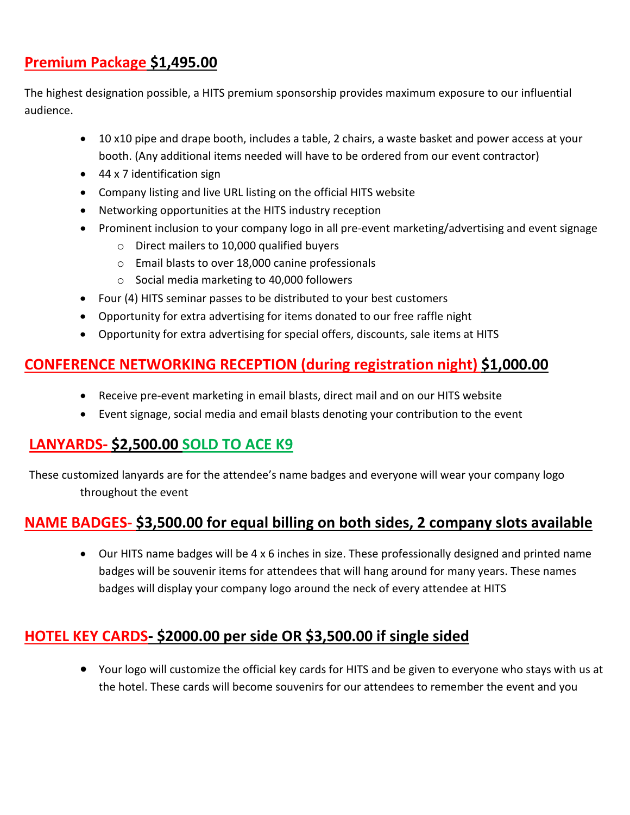#### **Premium Package \$1,495.00**

The highest designation possible, a HITS premium sponsorship provides maximum exposure to our influential audience.

- 10 x10 pipe and drape booth, includes a table, 2 chairs, a waste basket and power access at your booth. (Any additional items needed will have to be ordered from our event contractor)
- 44 x 7 identification sign
- Company listing and live URL listing on the official HITS website
- Networking opportunities at the HITS industry reception
- Prominent inclusion to your company logo in all pre-event marketing/advertising and event signage
	- o Direct mailers to 10,000 qualified buyers
	- o Email blasts to over 18,000 canine professionals
	- o Social media marketing to 40,000 followers
- Four (4) HITS seminar passes to be distributed to your best customers
- Opportunity for extra advertising for items donated to our free raffle night
- Opportunity for extra advertising for special offers, discounts, sale items at HITS

#### **CONFERENCE NETWORKING RECEPTION (during registration night) \$1,000.00**

- Receive pre-event marketing in email blasts, direct mail and on our HITS website
- Event signage, social media and email blasts denoting your contribution to the event

#### **LANYARDS- \$2,500.00 SOLD TO ACE K9**

These customized lanyards are for the attendee's name badges and everyone will wear your company logo throughout the event

#### **NAME BADGES- \$3,500.00 for equal billing on both sides, 2 company slots available**

• Our HITS name badges will be 4 x 6 inches in size. These professionally designed and printed name badges will be souvenir items for attendees that will hang around for many years. These names badges will display your company logo around the neck of every attendee at HITS

#### **HOTEL KEY CARDS- \$2000.00 per side OR \$3,500.00 if single sided**

• Your logo will customize the official key cards for HITS and be given to everyone who stays with us at the hotel. These cards will become souvenirs for our attendees to remember the event and you